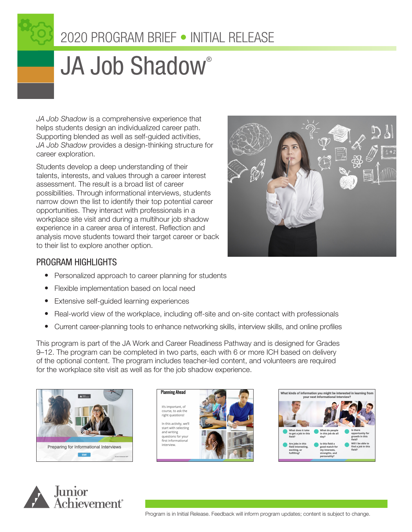

# 2020 PROGRAM BRIEF • INITIAL RELEASE

# JA Job Shadow®

*JA Job Shadow* is a comprehensive experience that helps students design an individualized career path. Supporting blended as well as self-guided activities, *JA Job Shadow* provides a design-thinking structure for career exploration.

Students develop a deep understanding of their talents, interests, and values through a career interest assessment. The result is a broad list of career possibilities. Through informational interviews, students narrow down the list to identify their top potential career opportunities. They interact with professionals in a workplace site visit and during a multihour job shadow experience in a career area of interest. Reflection and analysis move students toward their target career or back to their list to explore another option.



## PROGRAM HIGHLIGHTS

- Personalized approach to career planning for students
- Flexible implementation based on local need
- Extensive self-guided learning experiences
- Real-world view of the workplace, including off-site and on-site contact with professionals
- Current career-planning tools to enhance networking skills, interview skills, and online profiles

This program is part of the JA Work and Career Readiness Pathway and is designed for Grades 9–12. The program can be completed in two parts, each with 6 or more ICH based on delivery of the optional content. The program includes teacher-led content, and volunteers are required for the workplace site visit as well as for the job shadow experience.